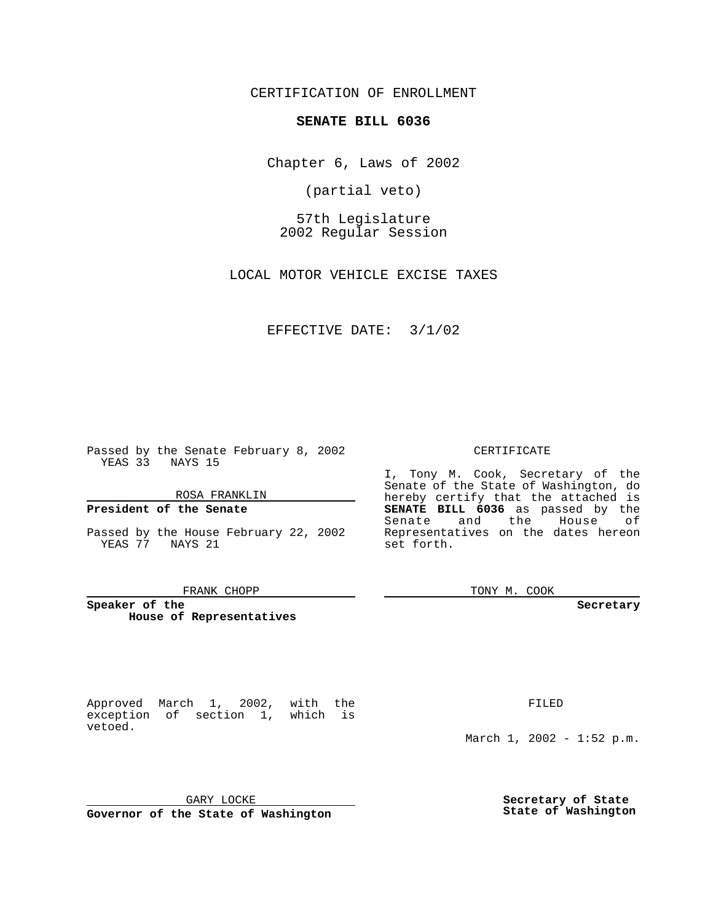CERTIFICATION OF ENROLLMENT

# **SENATE BILL 6036**

Chapter 6, Laws of 2002

(partial veto)

57th Legislature 2002 Regular Session

LOCAL MOTOR VEHICLE EXCISE TAXES

EFFECTIVE DATE: 3/1/02

Passed by the Senate February 8, 2002 YEAS 33 NAYS 15

ROSA FRANKLIN

## **President of the Senate**

vetoed.

YEAS 77 NAYS 21

### FRANK CHOPP

Approved March 1, 2002, with the exception of section 1, which is

**Speaker of the House of Representatives**

FILED

March 1, 2002 - 1:52 p.m.

GARY LOCKE

**Governor of the State of Washington**

**Secretary of State State of Washington**

CERTIFICATE

Passed by the House February 22, 2002 Representatives on the dates hereon I, Tony M. Cook, Secretary of the Senate of the State of Washington, do hereby certify that the attached is **SENATE BILL 6036** as passed by the Senate and the House of set forth.

TONY M. COOK

**Secretary**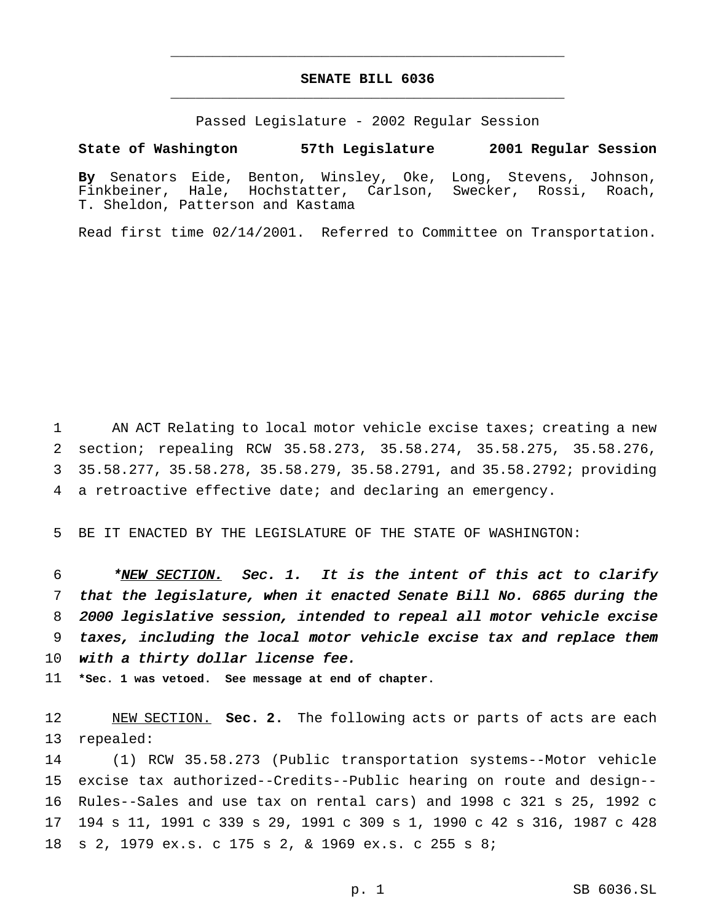## **SENATE BILL 6036** \_\_\_\_\_\_\_\_\_\_\_\_\_\_\_\_\_\_\_\_\_\_\_\_\_\_\_\_\_\_\_\_\_\_\_\_\_\_\_\_\_\_\_\_\_\_\_

\_\_\_\_\_\_\_\_\_\_\_\_\_\_\_\_\_\_\_\_\_\_\_\_\_\_\_\_\_\_\_\_\_\_\_\_\_\_\_\_\_\_\_\_\_\_\_

Passed Legislature - 2002 Regular Session

**State of Washington 57th Legislature 2001 Regular Session**

**By** Senators Eide, Benton, Winsley, Oke, Long, Stevens, Johnson, Finkbeiner, Hale, Hochstatter, Carlson, Swecker, Rossi, Roach, T. Sheldon, Patterson and Kastama

Read first time 02/14/2001. Referred to Committee on Transportation.

1 AN ACT Relating to local motor vehicle excise taxes; creating a new section; repealing RCW 35.58.273, 35.58.274, 35.58.275, 35.58.276, 35.58.277, 35.58.278, 35.58.279, 35.58.2791, and 35.58.2792; providing a retroactive effective date; and declaring an emergency.

5 BE IT ENACTED BY THE LEGISLATURE OF THE STATE OF WASHINGTON:

6 \* NEW SECTION. Sec. 1. It is the intent of this act to clarify 7 that the legislature, when it enacted Senate Bill No. <sup>6865</sup> during the 8 <sup>2000</sup> legislative session, intended to repeal all motor vehicle excise 9 taxes, including the local motor vehicle excise tax and replace them 10 with a thirty dollar license fee.

11 **\*Sec. 1 was vetoed. See message at end of chapter.**

12 NEW SECTION. **Sec. 2.** The following acts or parts of acts are each 13 repealed:

 (1) RCW 35.58.273 (Public transportation systems--Motor vehicle excise tax authorized--Credits--Public hearing on route and design-- Rules--Sales and use tax on rental cars) and 1998 c 321 s 25, 1992 c 194 s 11, 1991 c 339 s 29, 1991 c 309 s 1, 1990 c 42 s 316, 1987 c 428 s 2, 1979 ex.s. c 175 s 2, & 1969 ex.s. c 255 s 8;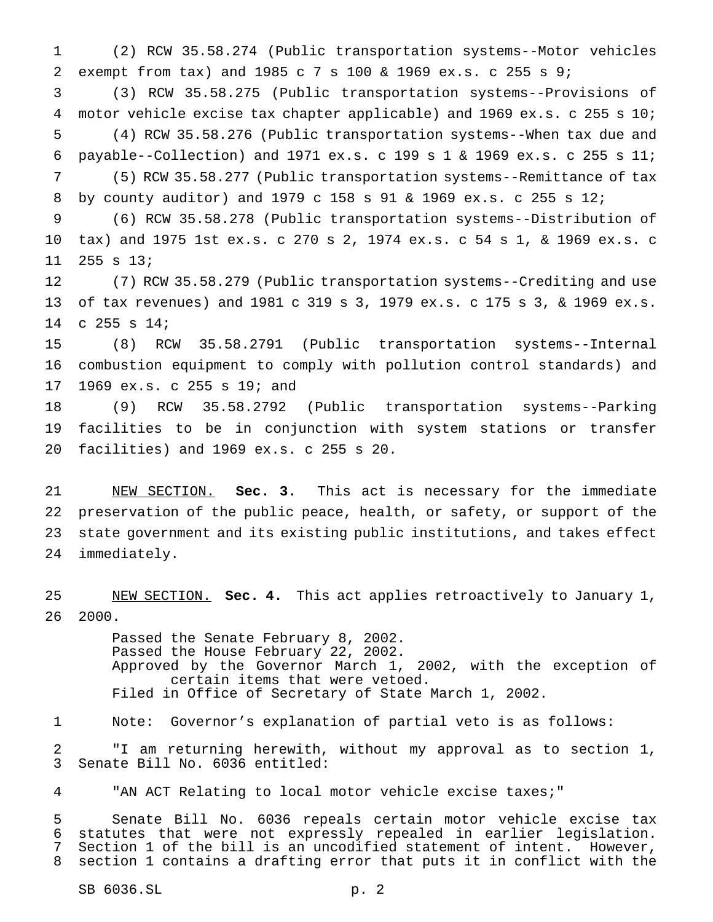(2) RCW 35.58.274 (Public transportation systems--Motor vehicles exempt from tax) and 1985 c 7 s 100 & 1969 ex.s. c 255 s 9;

 (3) RCW 35.58.275 (Public transportation systems--Provisions of motor vehicle excise tax chapter applicable) and 1969 ex.s. c 255 s 10; (4) RCW 35.58.276 (Public transportation systems--When tax due and payable--Collection) and 1971 ex.s. c 199 s 1 & 1969 ex.s. c 255 s 11; (5) RCW 35.58.277 (Public transportation systems--Remittance of tax

 by county auditor) and 1979 c 158 s 91 & 1969 ex.s. c 255 s 12; (6) RCW 35.58.278 (Public transportation systems--Distribution of

 tax) and 1975 1st ex.s. c 270 s 2, 1974 ex.s. c 54 s 1, & 1969 ex.s. c 255 s 13;

 (7) RCW 35.58.279 (Public transportation systems--Crediting and use of tax revenues) and 1981 c 319 s 3, 1979 ex.s. c 175 s 3, & 1969 ex.s. c 255 s 14;

 (8) RCW 35.58.2791 (Public transportation systems--Internal combustion equipment to comply with pollution control standards) and 1969 ex.s. c 255 s 19; and

 (9) RCW 35.58.2792 (Public transportation systems--Parking facilities to be in conjunction with system stations or transfer facilities) and 1969 ex.s. c 255 s 20.

 NEW SECTION. **Sec. 3.** This act is necessary for the immediate preservation of the public peace, health, or safety, or support of the state government and its existing public institutions, and takes effect immediately.

 NEW SECTION. **Sec. 4.** This act applies retroactively to January 1, 2000.

> Passed the Senate February 8, 2002. Passed the House February 22, 2002. Approved by the Governor March 1, 2002, with the exception of certain items that were vetoed. Filed in Office of Secretary of State March 1, 2002.

Note: Governor's explanation of partial veto is as follows:

 "I am returning herewith, without my approval as to section 1, Senate Bill No. 6036 entitled:

"AN ACT Relating to local motor vehicle excise taxes;"

 Senate Bill No. 6036 repeals certain motor vehicle excise tax statutes that were not expressly repealed in earlier legislation. Section 1 of the bill is an uncodified statement of intent. However, section 1 contains a drafting error that puts it in conflict with the